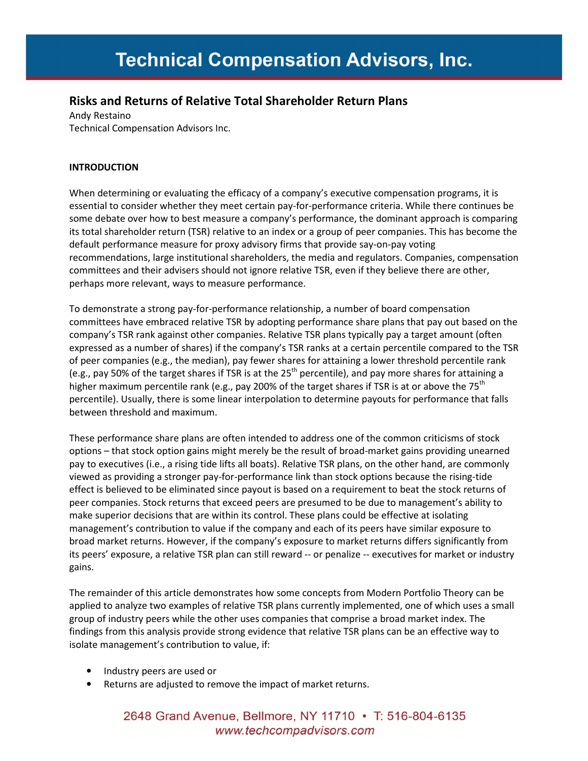# Risks and Returns of Relative Total Shareholder Return Plans

Andy Restaino Technical Compensation Advisors Inc.

# INTRODUCTION

When determining or evaluating the efficacy of a company's executive compensation programs, it is essential to consider whether they meet certain pay-for-performance criteria. While there continues be some debate over how to best measure a company's performance, the dominant approach is comparing its total shareholder return (TSR) relative to an index or a group of peer companies. This has become the default performance measure for proxy advisory firms that provide say-on-pay voting recommendations, large institutional shareholders, the media and regulators. Companies, compensation committees and their advisers should not ignore relative TSR, even if they believe there are other, perhaps more relevant, ways to measure performance.

To demonstrate a strong pay-for-performance relationship, a number of board compensation committees have embraced relative TSR by adopting performance share plans that pay out based on the company's TSR rank against other companies. Relative TSR plans typically pay a target amount (often expressed as a number of shares) if the company's TSR ranks at a certain percentile compared to the TSR of peer companies (e.g., the median), pay fewer shares for attaining a lower threshold percentile rank (e.g., pay 50% of the target shares if TSR is at the  $25<sup>th</sup>$  percentile), and pay more shares for attaining a higher maximum percentile rank (e.g., pay 200% of the target shares if TSR is at or above the 75<sup>th</sup> percentile). Usually, there is some linear interpolation to determine payouts for performance that falls between threshold and maximum.

These performance share plans are often intended to address one of the common criticisms of stock options – that stock option gains might merely be the result of broad-market gains providing unearned pay to executives (i.e., a rising tide lifts all boats). Relative TSR plans, on the other hand, are commonly viewed as providing a stronger pay-for-performance link than stock options because the rising-tide effect is believed to be eliminated since payout is based on a requirement to beat the stock returns of peer companies. Stock returns that exceed peers are presumed to be due to management's ability to make superior decisions that are within its control. These plans could be effective at isolating management's contribution to value if the company and each of its peers have similar exposure to broad market returns. However, if the company's exposure to market returns differs significantly from its peers' exposure, a relative TSR plan can still reward -- or penalize -- executives for market or industry gains.

The remainder of this article demonstrates how some concepts from Modern Portfolio Theory can be applied to analyze two examples of relative TSR plans currently implemented, one of which uses a small group of industry peers while the other uses companies that comprise a broad market index. The findings from this analysis provide strong evidence that relative TSR plans can be an effective way to isolate management's contribution to value, if:

- Industry peers are used or
- Returns are adjusted to remove the impact of market returns.

# 2648 Grand Avenue, Bellmore, NY 11710 • T: 516-804-6135 www.techcompadvisors.com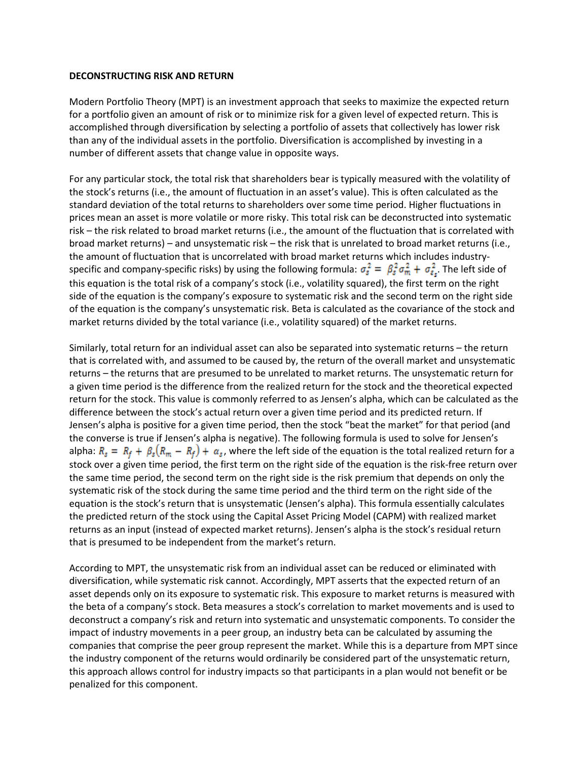#### DECONSTRUCTING RISK AND RETURN

Modern Portfolio Theory (MPT) is an investment approach that seeks to maximize the expected return for a portfolio given an amount of risk or to minimize risk for a given level of expected return. This is accomplished through diversification by selecting a portfolio of assets that collectively has lower risk than any of the individual assets in the portfolio. Diversification is accomplished by investing in a number of different assets that change value in opposite ways.

For any particular stock, the total risk that shareholders bear is typically measured with the volatility of the stock's returns (i.e., the amount of fluctuation in an asset's value). This is often calculated as the standard deviation of the total returns to shareholders over some time period. Higher fluctuations in prices mean an asset is more volatile or more risky. This total risk can be deconstructed into systematic risk – the risk related to broad market returns (i.e., the amount of the fluctuation that is correlated with broad market returns) – and unsystematic risk – the risk that is unrelated to broad market returns (i.e., the amount of fluctuation that is uncorrelated with broad market returns which includes industryspecific and company-specific risks) by using the following formula:  $\sigma_s^2 = \beta_s^2 \sigma_m^2 + \sigma_{\varepsilon_s}^2$ . The left side of this equation is the total risk of a company's stock (i.e., volatility squared), the first term on the right side of the equation is the company's exposure to systematic risk and the second term on the right side of the equation is the company's unsystematic risk. Beta is calculated as the covariance of the stock and market returns divided by the total variance (i.e., volatility squared) of the market returns.

Similarly, total return for an individual asset can also be separated into systematic returns – the return that is correlated with, and assumed to be caused by, the return of the overall market and unsystematic returns – the returns that are presumed to be unrelated to market returns. The unsystematic return for a given time period is the difference from the realized return for the stock and the theoretical expected return for the stock. This value is commonly referred to as Jensen's alpha, which can be calculated as the difference between the stock's actual return over a given time period and its predicted return. If Jensen's alpha is positive for a given time period, then the stock "beat the market" for that period (and the converse is true if Jensen's alpha is negative). The following formula is used to solve for Jensen's alpha:  $R_s = R_f + \beta_s (R_m - R_f) + \alpha_s$ , where the left side of the equation is the total realized return for a stock over a given time period, the first term on the right side of the equation is the risk-free return over the same time period, the second term on the right side is the risk premium that depends on only the systematic risk of the stock during the same time period and the third term on the right side of the equation is the stock's return that is unsystematic (Jensen's alpha). This formula essentially calculates the predicted return of the stock using the Capital Asset Pricing Model (CAPM) with realized market returns as an input (instead of expected market returns). Jensen's alpha is the stock's residual return that is presumed to be independent from the market's return.

According to MPT, the unsystematic risk from an individual asset can be reduced or eliminated with diversification, while systematic risk cannot. Accordingly, MPT asserts that the expected return of an asset depends only on its exposure to systematic risk. This exposure to market returns is measured with the beta of a company's stock. Beta measures a stock's correlation to market movements and is used to deconstruct a company's risk and return into systematic and unsystematic components. To consider the impact of industry movements in a peer group, an industry beta can be calculated by assuming the companies that comprise the peer group represent the market. While this is a departure from MPT since the industry component of the returns would ordinarily be considered part of the unsystematic return, this approach allows control for industry impacts so that participants in a plan would not benefit or be penalized for this component.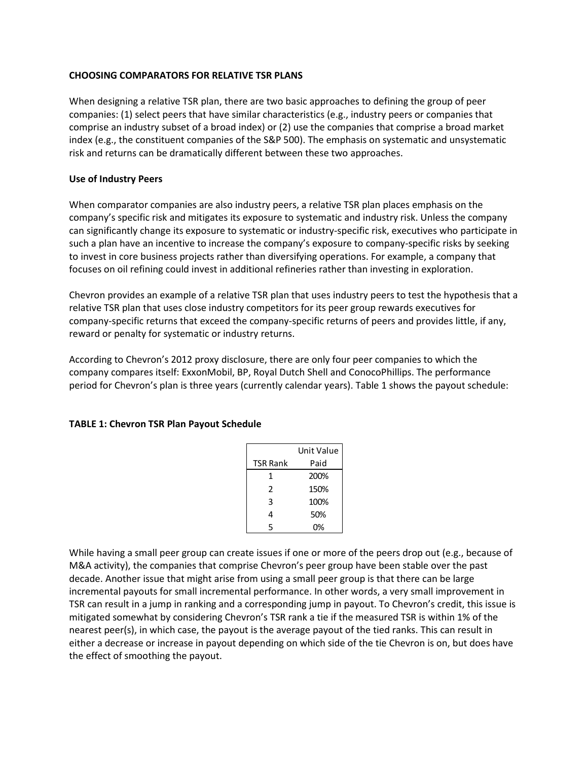## CHOOSING COMPARATORS FOR RELATIVE TSR PLANS

When designing a relative TSR plan, there are two basic approaches to defining the group of peer companies: (1) select peers that have similar characteristics (e.g., industry peers or companies that comprise an industry subset of a broad index) or (2) use the companies that comprise a broad market index (e.g., the constituent companies of the S&P 500). The emphasis on systematic and unsystematic risk and returns can be dramatically different between these two approaches.

## Use of Industry Peers

When comparator companies are also industry peers, a relative TSR plan places emphasis on the company's specific risk and mitigates its exposure to systematic and industry risk. Unless the company can significantly change its exposure to systematic or industry-specific risk, executives who participate in such a plan have an incentive to increase the company's exposure to company-specific risks by seeking to invest in core business projects rather than diversifying operations. For example, a company that focuses on oil refining could invest in additional refineries rather than investing in exploration.

Chevron provides an example of a relative TSR plan that uses industry peers to test the hypothesis that a relative TSR plan that uses close industry competitors for its peer group rewards executives for company-specific returns that exceed the company-specific returns of peers and provides little, if any, reward or penalty for systematic or industry returns.

According to Chevron's 2012 proxy disclosure, there are only four peer companies to which the company compares itself: ExxonMobil, BP, Royal Dutch Shell and ConocoPhillips. The performance period for Chevron's plan is three years (currently calendar years). Table 1 shows the payout schedule:

|                 | Unit Value |
|-----------------|------------|
| <b>TSR Rank</b> | Paid       |
| 1               | 200%       |
| 2               | 150%       |
| 3               | 100%       |
| 4               | 50%        |
| 5               | 0%         |

### TABLE 1: Chevron TSR Plan Payout Schedule

While having a small peer group can create issues if one or more of the peers drop out (e.g., because of M&A activity), the companies that comprise Chevron's peer group have been stable over the past decade. Another issue that might arise from using a small peer group is that there can be large incremental payouts for small incremental performance. In other words, a very small improvement in TSR can result in a jump in ranking and a corresponding jump in payout. To Chevron's credit, this issue is mitigated somewhat by considering Chevron's TSR rank a tie if the measured TSR is within 1% of the nearest peer(s), in which case, the payout is the average payout of the tied ranks. This can result in either a decrease or increase in payout depending on which side of the tie Chevron is on, but does have the effect of smoothing the payout.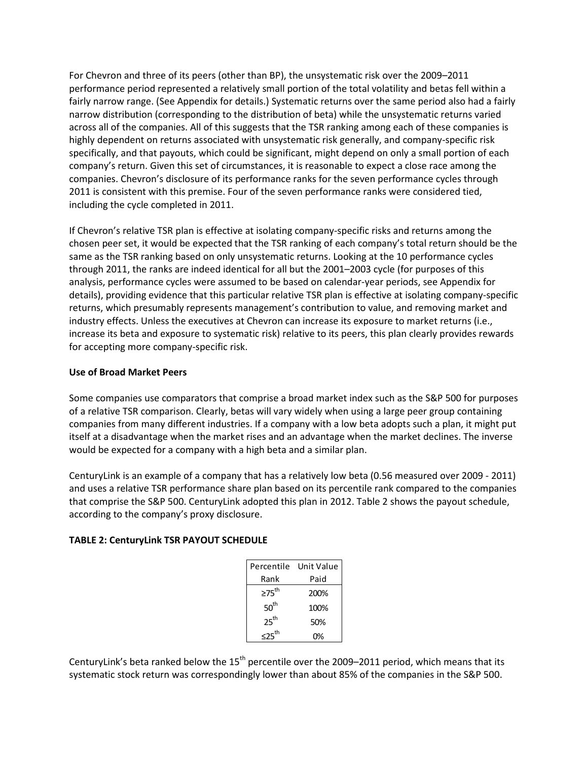For Chevron and three of its peers (other than BP), the unsystematic risk over the 2009–2011 performance period represented a relatively small portion of the total volatility and betas fell within a fairly narrow range. (See Appendix for details.) Systematic returns over the same period also had a fairly narrow distribution (corresponding to the distribution of beta) while the unsystematic returns varied across all of the companies. All of this suggests that the TSR ranking among each of these companies is highly dependent on returns associated with unsystematic risk generally, and company-specific risk specifically, and that payouts, which could be significant, might depend on only a small portion of each company's return. Given this set of circumstances, it is reasonable to expect a close race among the companies. Chevron's disclosure of its performance ranks for the seven performance cycles through 2011 is consistent with this premise. Four of the seven performance ranks were considered tied, including the cycle completed in 2011.

If Chevron's relative TSR plan is effective at isolating company-specific risks and returns among the chosen peer set, it would be expected that the TSR ranking of each company's total return should be the same as the TSR ranking based on only unsystematic returns. Looking at the 10 performance cycles through 2011, the ranks are indeed identical for all but the 2001–2003 cycle (for purposes of this analysis, performance cycles were assumed to be based on calendar-year periods, see Appendix for details), providing evidence that this particular relative TSR plan is effective at isolating company-specific returns, which presumably represents management's contribution to value, and removing market and industry effects. Unless the executives at Chevron can increase its exposure to market returns (i.e., increase its beta and exposure to systematic risk) relative to its peers, this plan clearly provides rewards for accepting more company-specific risk.

# Use of Broad Market Peers

Some companies use comparators that comprise a broad market index such as the S&P 500 for purposes of a relative TSR comparison. Clearly, betas will vary widely when using a large peer group containing companies from many different industries. If a company with a low beta adopts such a plan, it might put itself at a disadvantage when the market rises and an advantage when the market declines. The inverse would be expected for a company with a high beta and a similar plan.

CenturyLink is an example of a company that has a relatively low beta (0.56 measured over 2009 - 2011) and uses a relative TSR performance share plan based on its percentile rank compared to the companies that comprise the S&P 500. CenturyLink adopted this plan in 2012. Table 2 shows the payout schedule, according to the company's proxy disclosure.

# TABLE 2: CenturyLink TSR PAYOUT SCHEDULE

|                   | Percentile Unit Value |  |
|-------------------|-----------------------|--|
| Rank              | Paid                  |  |
| $275^{\text{th}}$ | 200%                  |  |
| 50 <sup>th</sup>  | 100%                  |  |
| 25 <sup>th</sup>  | 50%                   |  |
| $525^{th}$        | 0%                    |  |

CenturyLink's beta ranked below the  $15<sup>th</sup>$  percentile over the 2009–2011 period, which means that its systematic stock return was correspondingly lower than about 85% of the companies in the S&P 500.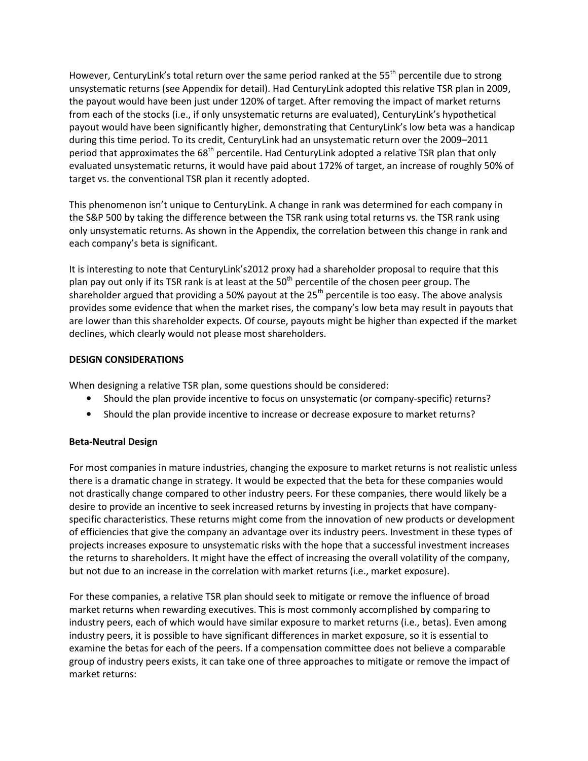However, CenturyLink's total return over the same period ranked at the  $55<sup>th</sup>$  percentile due to strong unsystematic returns (see Appendix for detail). Had CenturyLink adopted this relative TSR plan in 2009, the payout would have been just under 120% of target. After removing the impact of market returns from each of the stocks (i.e., if only unsystematic returns are evaluated), CenturyLink's hypothetical payout would have been significantly higher, demonstrating that CenturyLink's low beta was a handicap during this time period. To its credit, CenturyLink had an unsystematic return over the 2009–2011 period that approximates the 68<sup>th</sup> percentile. Had CenturyLink adopted a relative TSR plan that only evaluated unsystematic returns, it would have paid about 172% of target, an increase of roughly 50% of target vs. the conventional TSR plan it recently adopted.

This phenomenon isn't unique to CenturyLink. A change in rank was determined for each company in the S&P 500 by taking the difference between the TSR rank using total returns vs. the TSR rank using only unsystematic returns. As shown in the Appendix, the correlation between this change in rank and each company's beta is significant.

It is interesting to note that CenturyLink's2012 proxy had a shareholder proposal to require that this plan pay out only if its TSR rank is at least at the  $50<sup>th</sup>$  percentile of the chosen peer group. The shareholder argued that providing a 50% payout at the 25<sup>th</sup> percentile is too easy. The above analysis provides some evidence that when the market rises, the company's low beta may result in payouts that are lower than this shareholder expects. Of course, payouts might be higher than expected if the market declines, which clearly would not please most shareholders.

### DESIGN CONSIDERATIONS

When designing a relative TSR plan, some questions should be considered:

- Should the plan provide incentive to focus on unsystematic (or company-specific) returns?
- Should the plan provide incentive to increase or decrease exposure to market returns?

### Beta-Neutral Design

For most companies in mature industries, changing the exposure to market returns is not realistic unless there is a dramatic change in strategy. It would be expected that the beta for these companies would not drastically change compared to other industry peers. For these companies, there would likely be a desire to provide an incentive to seek increased returns by investing in projects that have companyspecific characteristics. These returns might come from the innovation of new products or development of efficiencies that give the company an advantage over its industry peers. Investment in these types of projects increases exposure to unsystematic risks with the hope that a successful investment increases the returns to shareholders. It might have the effect of increasing the overall volatility of the company, but not due to an increase in the correlation with market returns (i.e., market exposure).

For these companies, a relative TSR plan should seek to mitigate or remove the influence of broad market returns when rewarding executives. This is most commonly accomplished by comparing to industry peers, each of which would have similar exposure to market returns (i.e., betas). Even among industry peers, it is possible to have significant differences in market exposure, so it is essential to examine the betas for each of the peers. If a compensation committee does not believe a comparable group of industry peers exists, it can take one of three approaches to mitigate or remove the impact of market returns: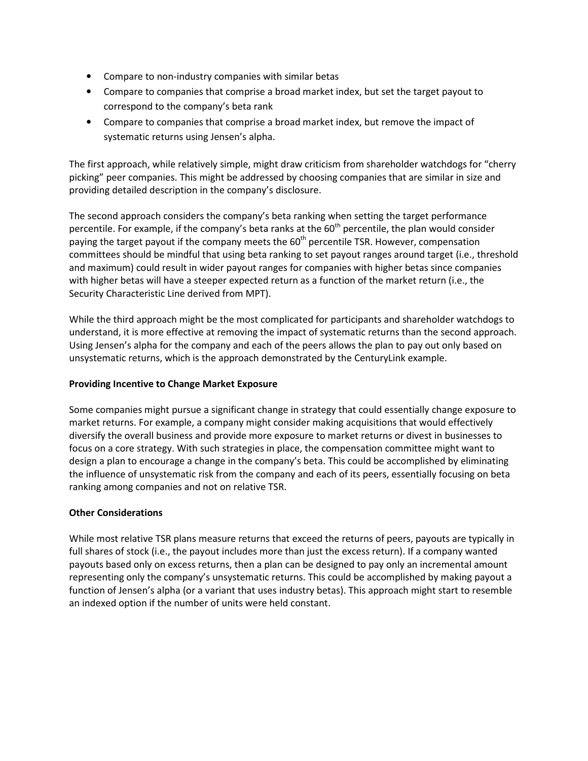- Compare to non-industry companies with similar betas
- Compare to companies that comprise a broad market index, but set the target payout to correspond to the company's beta rank
- Compare to companies that comprise a broad market index, but remove the impact of systematic returns using Jensen's alpha.

The first approach, while relatively simple, might draw criticism from shareholder watchdogs for "cherry picking" peer companies. This might be addressed by choosing companies that are similar in size and providing detailed description in the company's disclosure.

The second approach considers the company's beta ranking when setting the target performance percentile. For example, if the company's beta ranks at the  $60<sup>th</sup>$  percentile, the plan would consider paying the target payout if the company meets the 60<sup>th</sup> percentile TSR. However, compensation committees should be mindful that using beta ranking to set payout ranges around target (i.e., threshold and maximum) could result in wider payout ranges for companies with higher betas since companies with higher betas will have a steeper expected return as a function of the market return (i.e., the Security Characteristic Line derived from MPT).

While the third approach might be the most complicated for participants and shareholder watchdogs to understand, it is more effective at removing the impact of systematic returns than the second approach. Using Jensen's alpha for the company and each of the peers allows the plan to pay out only based on unsystematic returns, which is the approach demonstrated by the CenturyLink example.

# Providing Incentive to Change Market Exposure

Some companies might pursue a significant change in strategy that could essentially change exposure to market returns. For example, a company might consider making acquisitions that would effectively diversify the overall business and provide more exposure to market returns or divest in businesses to focus on a core strategy. With such strategies in place, the compensation committee might want to design a plan to encourage a change in the company's beta. This could be accomplished by eliminating the influence of unsystematic risk from the company and each of its peers, essentially focusing on beta ranking among companies and not on relative TSR.

# Other Considerations

While most relative TSR plans measure returns that exceed the returns of peers, payouts are typically in full shares of stock (i.e., the payout includes more than just the excess return). If a company wanted payouts based only on excess returns, then a plan can be designed to pay only an incremental amount representing only the company's unsystematic returns. This could be accomplished by making payout a function of Jensen's alpha (or a variant that uses industry betas). This approach might start to resemble an indexed option if the number of units were held constant.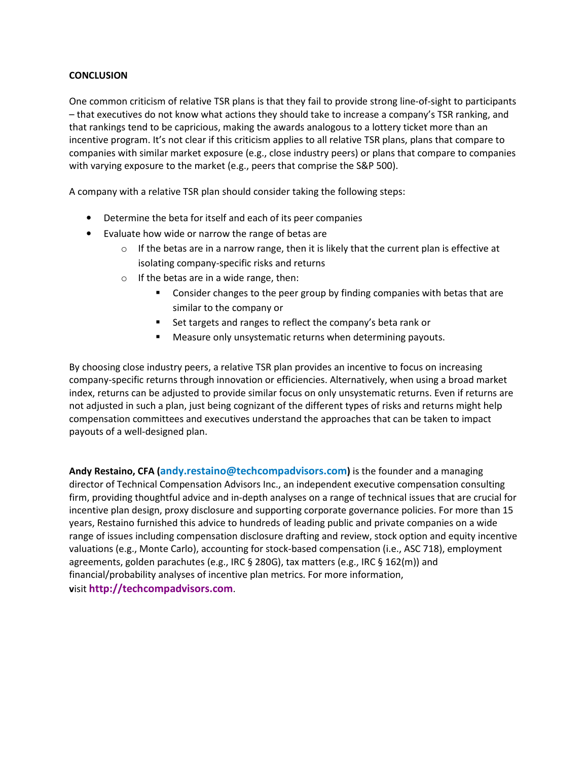#### **CONCLUSION**

One common criticism of relative TSR plans is that they fail to provide strong line-of-sight to participants – that executives do not know what actions they should take to increase a company's TSR ranking, and that rankings tend to be capricious, making the awards analogous to a lottery ticket more than an incentive program. It's not clear if this criticism applies to all relative TSR plans, plans that compare to companies with similar market exposure (e.g., close industry peers) or plans that compare to companies with varying exposure to the market (e.g., peers that comprise the S&P 500).

A company with a relative TSR plan should consider taking the following steps:

- Determine the beta for itself and each of its peer companies
- Evaluate how wide or narrow the range of betas are
	- $\circ$  If the betas are in a narrow range, then it is likely that the current plan is effective at isolating company-specific risks and returns
	- $\circ$  If the betas are in a wide range, then:
		- **Consider changes to the peer group by finding companies with betas that are** similar to the company or
		- Set targets and ranges to reflect the company's beta rank or
		- **Measure only unsystematic returns when determining payouts.**

By choosing close industry peers, a relative TSR plan provides an incentive to focus on increasing company-specific returns through innovation or efficiencies. Alternatively, when using a broad market index, returns can be adjusted to provide similar focus on only unsystematic returns. Even if returns are not adjusted in such a plan, just being cognizant of the different types of risks and returns might help compensation committees and executives understand the approaches that can be taken to impact payouts of a well-designed plan.

Andy Restaino, CFA (andy.restaino@techcompadvisors.com) is the founder and a managing director of Technical Compensation Advisors Inc., an independent executive compensation consulting firm, providing thoughtful advice and in-depth analyses on a range of technical issues that are crucial for incentive plan design, proxy disclosure and supporting corporate governance policies. For more than 15 years, Restaino furnished this advice to hundreds of leading public and private companies on a wide range of issues including compensation disclosure drafting and review, stock option and equity incentive valuations (e.g., Monte Carlo), accounting for stock-based compensation (i.e., ASC 718), employment agreements, golden parachutes (e.g., IRC § 280G), tax matters (e.g., IRC § 162(m)) and financial/probability analyses of incentive plan metrics. For more information, visit http://techcompadvisors.com.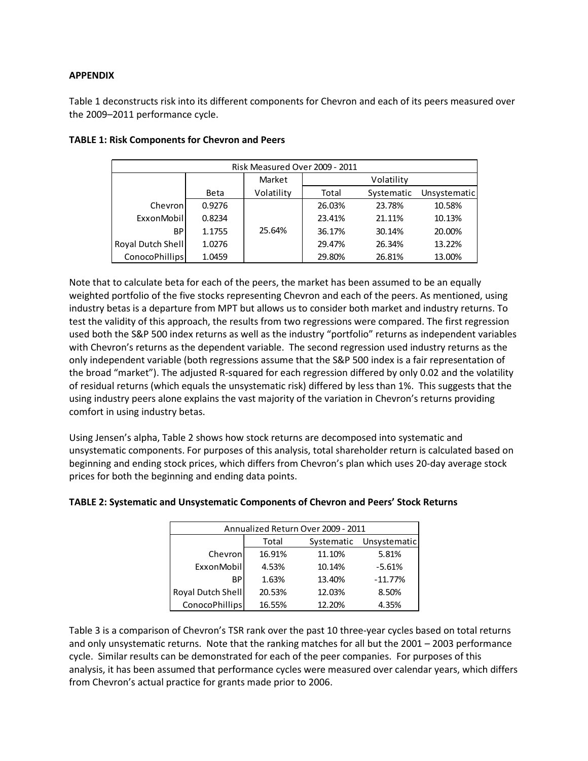# APPENDIX

Table 1 deconstructs risk into its different components for Chevron and each of its peers measured over the 2009–2011 performance cycle.

| Risk Measured Over 2009 - 2011 |             |            |            |            |              |
|--------------------------------|-------------|------------|------------|------------|--------------|
|                                |             | Market     | Volatility |            |              |
|                                | <b>Beta</b> | Volatility | Total      | Systematic | Unsystematic |
| Chevron                        | 0.9276      |            | 26.03%     | 23.78%     | 10.58%       |
| ExxonMobil                     | 0.8234      |            | 23.41%     | 21.11%     | 10.13%       |
| BP.                            | 1.1755      | 25.64%     | 36.17%     | 30.14%     | 20.00%       |
| Royal Dutch Shell              | 1.0276      |            | 29.47%     | 26.34%     | 13.22%       |
| ConocoPhillips                 | 1.0459      |            | 29.80%     | 26.81%     | 13.00%       |

# TABLE 1: Risk Components for Chevron and Peers

Note that to calculate beta for each of the peers, the market has been assumed to be an equally weighted portfolio of the five stocks representing Chevron and each of the peers. As mentioned, using industry betas is a departure from MPT but allows us to consider both market and industry returns. To test the validity of this approach, the results from two regressions were compared. The first regression used both the S&P 500 index returns as well as the industry "portfolio" returns as independent variables with Chevron's returns as the dependent variable. The second regression used industry returns as the only independent variable (both regressions assume that the S&P 500 index is a fair representation of the broad "market"). The adjusted R-squared for each regression differed by only 0.02 and the volatility of residual returns (which equals the unsystematic risk) differed by less than 1%. This suggests that the using industry peers alone explains the vast majority of the variation in Chevron's returns providing comfort in using industry betas.

Using Jensen's alpha, Table 2 shows how stock returns are decomposed into systematic and unsystematic components. For purposes of this analysis, total shareholder return is calculated based on beginning and ending stock prices, which differs from Chevron's plan which uses 20-day average stock prices for both the beginning and ending data points.

| Annualized Return Over 2009 - 2011 |                                  |        |           |  |
|------------------------------------|----------------------------------|--------|-----------|--|
|                                    | Systematic Unsystematic<br>Total |        |           |  |
| Chevron                            | 16.91%                           | 11.10% | 5.81%     |  |
| ExxonMobil                         | 4.53%                            | 10.14% | $-5.61%$  |  |
| ВP                                 | 1.63%                            | 13.40% | $-11.77%$ |  |
| Royal Dutch Shell                  | 20.53%                           | 12.03% | 8.50%     |  |
| <b>ConocoPhillips</b>              | 16.55%                           | 12.20% | 4.35%     |  |

### TABLE 2: Systematic and Unsystematic Components of Chevron and Peers' Stock Returns

Table 3 is a comparison of Chevron's TSR rank over the past 10 three-year cycles based on total returns and only unsystematic returns. Note that the ranking matches for all but the 2001 – 2003 performance cycle. Similar results can be demonstrated for each of the peer companies. For purposes of this analysis, it has been assumed that performance cycles were measured over calendar years, which differs from Chevron's actual practice for grants made prior to 2006.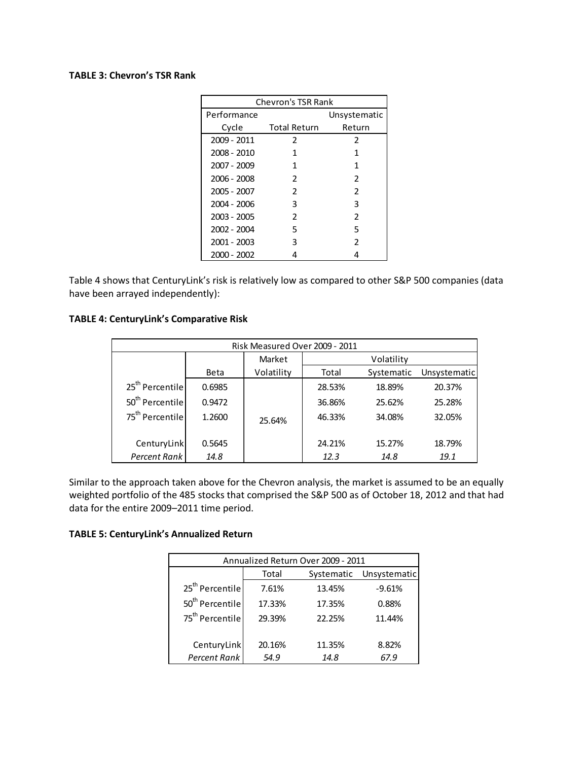#### TABLE 3: Chevron's TSR Rank

| <b>Chevron's TSR Rank</b> |                     |                          |  |  |
|---------------------------|---------------------|--------------------------|--|--|
| Performance               |                     | Unsystematic             |  |  |
| Cycle                     | <b>Total Return</b> | Return                   |  |  |
| 2009 - 2011               | 2                   | 2                        |  |  |
| 2008 - 2010               | 1                   | 1                        |  |  |
| 2007 - 2009               | 1                   | 1                        |  |  |
| 2006 - 2008               | $\mathcal{P}$       | $\mathcal{P}$            |  |  |
| 2005 - 2007               | $\mathcal{P}$       | $\overline{\phantom{a}}$ |  |  |
| 2004 - 2006               | 3                   | 3                        |  |  |
| 2003 - 2005               | $\mathcal{P}$       | 2                        |  |  |
| 2002 - 2004               | 5                   | 5                        |  |  |
| 2001 - 2003               | 3                   | 2                        |  |  |
| 2000 - 2002               |                     |                          |  |  |

Table 4 shows that CenturyLink's risk is relatively low as compared to other S&P 500 companies (data have been arrayed independently):

#### TABLE 4: CenturyLink's Comparative Risk

| Risk Measured Over 2009 - 2011 |             |            |            |            |              |
|--------------------------------|-------------|------------|------------|------------|--------------|
|                                |             | Market     | Volatility |            |              |
|                                | <b>Beta</b> | Volatility | Total      | Systematic | Unsystematic |
| 25 <sup>th</sup> Percentile    | 0.6985      |            | 28.53%     | 18.89%     | 20.37%       |
| 50 <sup>th</sup> Percentile    | 0.9472      |            | 36.86%     | 25.62%     | 25.28%       |
| 75 <sup>th</sup> Percentile    | 1.2600      | 25.64%     | 46.33%     | 34.08%     | 32.05%       |
| CenturyLink                    | 0.5645      |            | 24.21%     | 15.27%     | 18.79%       |
| Percent Rank                   | 14.8        |            | 12.3       | 14.8       | 19.1         |

Similar to the approach taken above for the Chevron analysis, the market is assumed to be an equally weighted portfolio of the 485 stocks that comprised the S&P 500 as of October 18, 2012 and that had data for the entire 2009–2011 time period.

#### TABLE 5: CenturyLink's Annualized Return

| Annualized Return Over 2009 - 2011 |                                     |        |          |  |
|------------------------------------|-------------------------------------|--------|----------|--|
|                                    | Unsystematic<br>Total<br>Systematic |        |          |  |
| 25 <sup>th</sup> Percentile        | 7.61%                               | 13.45% | $-9.61%$ |  |
| 50 <sup>th</sup> Percentile        | 17.33%                              | 17.35% | 0.88%    |  |
| 75 <sup>th</sup> Percentile        | 29.39%                              | 22.25% | 11.44%   |  |
| CenturyLink                        | 20.16%                              | 11.35% | 8.82%    |  |
| Percent Rank                       | 54.9                                | 14.8   | 67.9     |  |